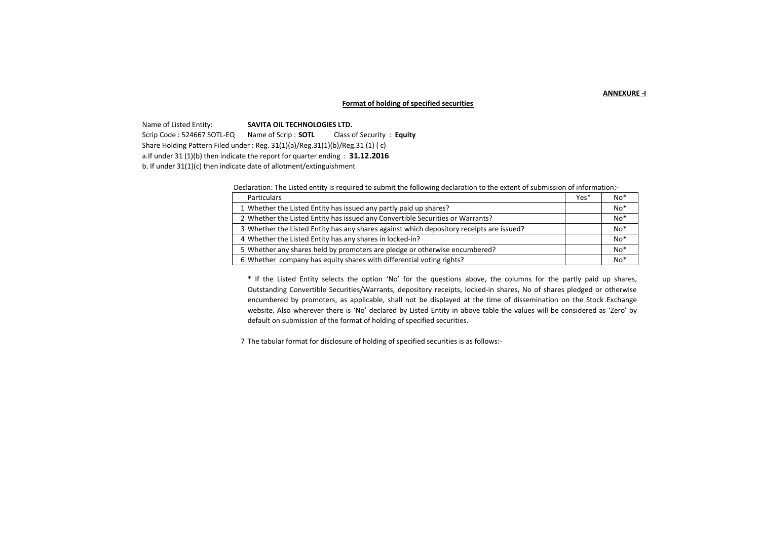**ANNEXURE -I**

## **Format of holding of specified securities**

Name of Listed Entity: **SAVITA OIL TECHNOLOGIES LTD.**

Scrip Code : 524667 SOTL-EQ Name of Scrip : **SOTL** Class of Security : **Equity** 

Share Holding Pattern Filed under : Reg. 31(1)(a)/Reg.31(1)(b)/Reg.31 (1) ( c)

a.If under 31 (1)(b) then indicate the report for quarter ending : **31.12.2016**

b. If under 31(1)(c) then indicate date of allotment/extinguishment

Declaration: The Listed entity is required to submit the following declaration to the extent of submission of information:-

| <b>Particulars</b>                                                                       | Yes* | $No*$ |
|------------------------------------------------------------------------------------------|------|-------|
| 1 Whether the Listed Entity has issued any partly paid up shares?                        |      | $No*$ |
| 2 Whether the Listed Entity has issued any Convertible Securities or Warrants?           |      | $No*$ |
| 3 Whether the Listed Entity has any shares against which depository receipts are issued? |      | $No*$ |
| 4 Whether the Listed Entity has any shares in locked-in?                                 |      | $No*$ |
| 5 Whether any shares held by promoters are pledge or otherwise encumbered?               |      | $No*$ |
| 6 Whether company has equity shares with differential voting rights?                     |      | $No*$ |

\* If the Listed Entity selects the option 'No' for the questions above, the columns for the partly paid up shares, Outstanding Convertible Securities/Warrants, depository receipts, locked-in shares, No of shares pledged or otherwise encumbered by promoters, as applicable, shall not be displayed at the time of dissemination on the Stock Exchange website. Also wherever there is 'No' declared by Listed Entity in above table the values will be considered as 'Zero' by default on submission of the format of holding of specified securities.

7 The tabular format for disclosure of holding of specified securities is as follows:-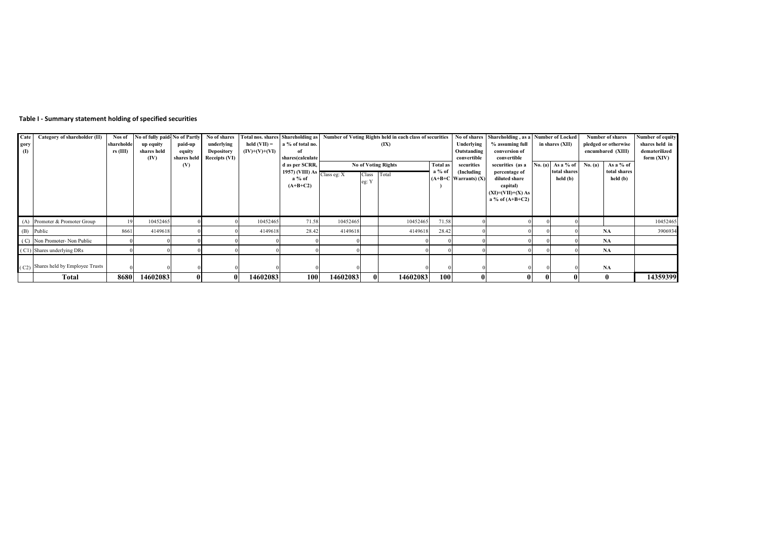## **Table I - Summary statement holding of specified securities**

| Cate         | Category of shareholder (II)          | Nos of     | No of fully paid-No of Partly |             | No of shares      |                 |                                              |                          |       | Total nos. shares Shareholding as Number of Voting Rights held in each class of securities |                 |                          | No of shares Shareholding, as a Number of Locked |         |                   | <b>Number of shares</b> |                 | Number of equity     |  |                |
|--------------|---------------------------------------|------------|-------------------------------|-------------|-------------------|-----------------|----------------------------------------------|--------------------------|-------|--------------------------------------------------------------------------------------------|-----------------|--------------------------|--------------------------------------------------|---------|-------------------|-------------------------|-----------------|----------------------|--|----------------|
| gory         |                                       | shareholde | up equity                     | paid-up     | underlying        | held $(VII) =$  | a % of total no.                             |                          |       | (IX)                                                                                       |                 | Underlying               | % assuming full                                  |         |                   |                         | in shares (XII) | pledged or otherwise |  | shares held in |
| $\mathbf{I}$ |                                       | $rs$ (III) | shares held                   | equity      | <b>Depository</b> | $(IV)+(V)+(VI)$ | of                                           |                          |       |                                                                                            |                 | Outstanding              |                                                  |         | encumbared (XIII) |                         | dematerilized   |                      |  |                |
|              |                                       |            | (IV)                          | shares held | Receipts (VI)     |                 | shares(calculate                             |                          |       |                                                                                            |                 | convertible              | convertible                                      |         |                   |                         |                 | form (XIV)           |  |                |
|              |                                       |            |                               | (V)         |                   |                 | d as per SCRR,                               |                          |       | <b>No of Voting Rights</b>                                                                 | <b>Total as</b> | securities               | securities (as a                                 | No. (a) | As a % of         | No. (a)                 | As a % of       |                      |  |                |
|              |                                       |            |                               |             |                   |                 | 1957) (VIII) As $\sqrt{\text{Class eq: } X}$ | a % of<br>Class<br>Total |       |                                                                                            |                 | (Including               | percentage of                                    |         | total shares      |                         | total shares    |                      |  |                |
|              |                                       |            |                               |             |                   |                 | $a\%$ of                                     |                          | eg: Y |                                                                                            |                 | $(A+B+C$ Warrants) $(X)$ | diluted share                                    |         | held (b)          |                         | held (b)        |                      |  |                |
|              |                                       |            |                               |             |                   |                 | $(A+B+C2)$                                   |                          |       |                                                                                            |                 |                          | capital)                                         |         |                   |                         |                 |                      |  |                |
|              |                                       |            |                               |             |                   |                 |                                              |                          |       |                                                                                            |                 |                          | $(XI)=(VII)+(X) As$                              |         |                   |                         |                 |                      |  |                |
|              |                                       |            |                               |             |                   |                 |                                              |                          |       |                                                                                            |                 |                          | a % of $(A+B+C2)$                                |         |                   |                         |                 |                      |  |                |
|              |                                       |            |                               |             |                   |                 |                                              |                          |       |                                                                                            |                 |                          |                                                  |         |                   |                         |                 |                      |  |                |
|              |                                       |            |                               |             |                   |                 |                                              |                          |       |                                                                                            |                 |                          |                                                  |         |                   |                         |                 |                      |  |                |
|              | (A) Promoter & Promoter Group         |            | 10452465                      |             |                   | 10452465        | 71.58                                        | 10452465                 |       | 10452465                                                                                   | 71.58           |                          |                                                  |         |                   |                         |                 | 10452465             |  |                |
|              | (B) Public                            | 8661       | 4149618                       |             |                   | 4149618         | 28.42                                        | 4149618                  |       | 4149618                                                                                    | 28.42           |                          |                                                  |         |                   |                         | <b>NA</b>       | 3906934              |  |                |
|              | (C) Non Promoter-Non Public           |            |                               |             |                   |                 |                                              |                          |       |                                                                                            |                 |                          |                                                  |         |                   |                         | <b>NA</b>       |                      |  |                |
|              | (C1) Shares underlying DRs            |            |                               |             |                   |                 |                                              |                          |       |                                                                                            |                 |                          |                                                  |         |                   |                         | NA              |                      |  |                |
|              |                                       |            |                               |             |                   |                 |                                              |                          |       |                                                                                            |                 |                          |                                                  |         |                   |                         |                 |                      |  |                |
|              | $(C2)$ Shares held by Employee Trusts |            |                               |             |                   |                 |                                              |                          |       |                                                                                            |                 |                          |                                                  |         |                   |                         | NA              |                      |  |                |
|              |                                       |            |                               |             |                   |                 |                                              |                          |       |                                                                                            |                 |                          |                                                  |         |                   |                         |                 |                      |  |                |
|              | Total                                 | 8680       | 14602083                      | $\bf{0}$    |                   | 14602083        | 100                                          | 14602083                 |       | 14602083                                                                                   | <b>100</b>      |                          |                                                  |         |                   |                         | $\mathbf{0}$    | 14359399             |  |                |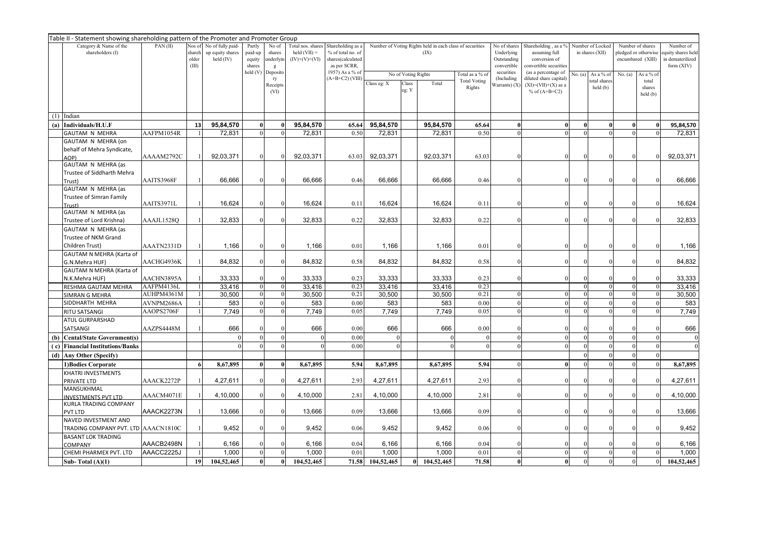|     | Table II - Statement showing shareholding pattern of the Promoter and Promoter Group<br>Category & Name of the<br>PAN(II)<br>Nos of No of fully paid-<br>Partly<br>No of<br>Total nos. shares<br>Shareholding as a<br>Number of Voting Rights held in each class of securities<br>Shareholding, as a %<br>Number of Locked<br>Number of<br>No of shares<br>Number of shares |                          |                 |                               |                  |                            |                                   |                                        |             |                     |            |                     |                           |                                |          |                                                              |                      |                                       |            |
|-----|-----------------------------------------------------------------------------------------------------------------------------------------------------------------------------------------------------------------------------------------------------------------------------------------------------------------------------------------------------------------------------|--------------------------|-----------------|-------------------------------|------------------|----------------------------|-----------------------------------|----------------------------------------|-------------|---------------------|------------|---------------------|---------------------------|--------------------------------|----------|--------------------------------------------------------------|----------------------|---------------------------------------|------------|
|     |                                                                                                                                                                                                                                                                                                                                                                             |                          |                 |                               |                  |                            |                                   |                                        |             |                     |            |                     |                           |                                |          |                                                              |                      |                                       |            |
|     | shareholders (I)                                                                                                                                                                                                                                                                                                                                                            |                          | shareh<br>older | up equity shares<br>held (IV) | paid-up          | shares<br>underlyin        | held $(VII) =$<br>$(IV)+(V)+(VI)$ | % of total no. of<br>shares(calculated |             |                     | (IX)       |                     | Underlying<br>Outstanding | assuming full<br>conversion of |          | in shares (XII)<br>pledged or otherwise<br>encumbared (XIII) |                      | quity shares held<br>in dematerilized |            |
|     |                                                                                                                                                                                                                                                                                                                                                                             |                          | (III)           |                               | equity<br>shares | g                          |                                   | as per SCRR,                           |             |                     |            |                     | convertible               | convertible securities         |          |                                                              |                      |                                       | form (XIV) |
|     |                                                                                                                                                                                                                                                                                                                                                                             |                          |                 |                               | held (V)         | Deposito                   |                                   | 1957) As a % of                        |             | No of Voting Rights |            | Total as a % of     | securities                | (as a percentage of            | No. (a)  | As a % of                                                    | No. $(a)$            | As a % of                             |            |
|     |                                                                                                                                                                                                                                                                                                                                                                             |                          |                 |                               |                  | ry                         |                                   | $(A+B+C2)$ (VIII)                      | Class eg: X | Class               | Total      | <b>Total Voting</b> | (Including                | diluted share capital)         |          | otal shares                                                  |                      | total                                 |            |
|     |                                                                                                                                                                                                                                                                                                                                                                             |                          |                 |                               |                  | Receipts                   |                                   |                                        |             | eg: Y               |            | Rights              | Warrants) (X              | $(XI) = (VII)+(X)$ as a        |          | held (b)                                                     |                      | shares                                |            |
|     |                                                                                                                                                                                                                                                                                                                                                                             |                          |                 |                               |                  | (VI)                       |                                   |                                        |             |                     |            |                     |                           | % of $(A+B+C2)$                |          |                                                              |                      | held(b)                               |            |
|     |                                                                                                                                                                                                                                                                                                                                                                             |                          |                 |                               |                  |                            |                                   |                                        |             |                     |            |                     |                           |                                |          |                                                              |                      |                                       |            |
|     |                                                                                                                                                                                                                                                                                                                                                                             |                          |                 |                               |                  |                            |                                   |                                        |             |                     |            |                     |                           |                                |          |                                                              |                      |                                       |            |
| (1) | Indian                                                                                                                                                                                                                                                                                                                                                                      |                          |                 |                               | $\bf{0}$         |                            |                                   |                                        |             |                     |            |                     |                           |                                |          |                                                              |                      |                                       |            |
| (a) | Individuals/H.U.F                                                                                                                                                                                                                                                                                                                                                           |                          | 13              | 95,84,570                     |                  | $\bf{0}$                   | 95,84,570                         | 65.64                                  | 95,84,570   |                     | 95,84,570  | 65.64<br>0.50       | 0                         | $\mathbf{0}$                   | $\theta$ | 0                                                            | $\bf{0}$<br>$\Omega$ | $\mathbf{0}$                          | 95,84,570  |
|     | <b>GAUTAM N MEHRA</b>                                                                                                                                                                                                                                                                                                                                                       | AAFPM1054R               |                 | 72.831                        |                  |                            | 72.831                            | 0.50                                   | 72.831      |                     | 72.831     |                     |                           |                                |          |                                                              |                      |                                       | 72.831     |
|     | GAUTAM N MEHRA (on                                                                                                                                                                                                                                                                                                                                                          |                          |                 |                               |                  |                            |                                   |                                        |             |                     |            |                     |                           |                                |          |                                                              |                      |                                       |            |
|     | behalf of Mehra Syndicate,                                                                                                                                                                                                                                                                                                                                                  | AAAAM2792C               |                 | 92,03,371                     | $\Omega$         |                            | 92,03,371                         | 63.03                                  | 92,03,371   |                     | 92,03,371  | 63.03               |                           |                                |          |                                                              | $\Omega$             |                                       | 92,03,371  |
|     | AOP)<br>GAUTAM N MEHRA (as                                                                                                                                                                                                                                                                                                                                                  |                          |                 |                               |                  |                            |                                   |                                        |             |                     |            |                     |                           |                                |          |                                                              |                      |                                       |            |
|     |                                                                                                                                                                                                                                                                                                                                                                             |                          |                 |                               |                  |                            |                                   |                                        |             |                     |            |                     |                           |                                |          |                                                              |                      |                                       |            |
|     | Trustee of Siddharth Mehra<br>Trust)                                                                                                                                                                                                                                                                                                                                        | AAITS3968F               |                 | 66,666                        | $\Omega$         |                            | 66,666                            | 0.46                                   | 66,666      |                     | 66,666     | 0.46                |                           |                                | $\Omega$ |                                                              |                      |                                       | 66,666     |
|     | GAUTAM N MEHRA (as                                                                                                                                                                                                                                                                                                                                                          |                          |                 |                               |                  |                            |                                   |                                        |             |                     |            |                     |                           |                                |          |                                                              |                      |                                       |            |
|     |                                                                                                                                                                                                                                                                                                                                                                             |                          |                 |                               |                  |                            |                                   |                                        |             |                     |            |                     |                           |                                |          |                                                              |                      |                                       |            |
|     | Trustee of Simran Family<br>Trust)                                                                                                                                                                                                                                                                                                                                          | AAITS3971L               |                 | 16,624                        | $\Omega$         |                            | 16,624                            | 0.11                                   | 16,624      |                     | 16,624     | 0.11                |                           | 0                              |          |                                                              | $\Omega$             |                                       | 16,624     |
|     | GAUTAM N MEHRA (as                                                                                                                                                                                                                                                                                                                                                          |                          |                 |                               |                  |                            |                                   |                                        |             |                     |            |                     |                           |                                |          |                                                              |                      |                                       |            |
|     | Trustee of Lord Krishna)                                                                                                                                                                                                                                                                                                                                                    | AAAJL1528Q               |                 | 32,833                        | $\Omega$         | $\Omega$                   | 32,833                            | 0.22                                   | 32,833      |                     | 32,833     | 0.22                |                           |                                |          |                                                              | $\Omega$             |                                       | 32,833     |
|     | GAUTAM N MEHRA (as                                                                                                                                                                                                                                                                                                                                                          |                          |                 |                               |                  |                            |                                   |                                        |             |                     |            |                     |                           |                                |          |                                                              |                      |                                       |            |
|     | Trustee of NKM Grand                                                                                                                                                                                                                                                                                                                                                        |                          |                 |                               |                  |                            |                                   |                                        |             |                     |            |                     |                           |                                |          |                                                              |                      |                                       |            |
|     |                                                                                                                                                                                                                                                                                                                                                                             |                          |                 |                               | $\Omega$         | $\Omega$                   |                                   |                                        |             |                     |            |                     |                           |                                | $\Omega$ |                                                              |                      |                                       |            |
|     | Children Trust)                                                                                                                                                                                                                                                                                                                                                             | AAATN2331D               |                 | 1,166                         |                  |                            | 1,166                             | 0.01                                   | 1,166       |                     | 1,166      | 0.01                |                           |                                |          |                                                              | $\Omega$             |                                       | 1,166      |
|     | GAUTAM N MEHRA (Karta of                                                                                                                                                                                                                                                                                                                                                    |                          |                 | 84,832                        | $\theta$         |                            | 84,832                            | 0.58                                   | 84,832      |                     | 84,832     | 0.58                |                           |                                |          |                                                              | $\theta$             |                                       | 84,832     |
|     | G.N.Mehra HUF)                                                                                                                                                                                                                                                                                                                                                              | AACHG4936K               |                 |                               |                  |                            |                                   |                                        |             |                     |            |                     |                           |                                |          |                                                              |                      |                                       |            |
|     | GAUTAM N MEHRA (Karta of                                                                                                                                                                                                                                                                                                                                                    |                          |                 |                               | $\Omega$         |                            |                                   |                                        |             |                     |            |                     |                           |                                |          |                                                              |                      |                                       |            |
|     | N.K.Mehra HUF)                                                                                                                                                                                                                                                                                                                                                              | AACHN3895A               |                 | 33,333                        | $\mathbf{0}$     |                            | 33,333                            | 0.23                                   | 33,333      |                     | 33,333     | 0.23<br>0.23        |                           |                                | $\theta$ | $\Omega$                                                     | $\mathbf{0}$         |                                       | 33,333     |
|     | RESHMA GAUTAM MEHRA                                                                                                                                                                                                                                                                                                                                                         | AAFPM4136L<br>AUHPM4361M |                 | 33.416                        | $\Omega$         | $\overline{0}$<br>$\Omega$ | 33,416                            | 0.23<br>0.21                           | 33,416      |                     | 33,416     | 0.21                |                           |                                |          | 0                                                            | $\Omega$             |                                       | 33,416     |
|     | <b>SIMRAN G MEHRA</b><br>SIDDHARTH MEHRA                                                                                                                                                                                                                                                                                                                                    |                          |                 | 30,500                        | $\Omega$         |                            | 30,500                            | 0.00                                   | 30,500      |                     | 30,500     | 0.00                |                           |                                |          |                                                              | $\theta$             |                                       | 30,500     |
|     |                                                                                                                                                                                                                                                                                                                                                                             | AVNPM2686A               |                 | 583                           |                  |                            | 583                               |                                        | 583         |                     | 583        |                     |                           |                                |          |                                                              |                      |                                       | 583        |
|     | RITU SATSANGI                                                                                                                                                                                                                                                                                                                                                               | AAOPS2706F               |                 | 7,749                         |                  |                            | 7,749                             | 0.05                                   | 7,749       |                     | 7,749      | 0.05                |                           |                                |          |                                                              |                      |                                       | 7,749      |
|     | <b>ATUL GURPARSHAD</b>                                                                                                                                                                                                                                                                                                                                                      |                          |                 |                               |                  |                            |                                   |                                        |             |                     |            |                     |                           |                                |          |                                                              |                      |                                       |            |
|     | SATSANGI                                                                                                                                                                                                                                                                                                                                                                    | AAZPS4448M               |                 | 666                           |                  |                            | 666                               | 0.00                                   | 666         |                     | 666        | 0.00                |                           |                                |          |                                                              |                      |                                       | 666        |
| (b) | <b>Cental/State Government(s)</b>                                                                                                                                                                                                                                                                                                                                           |                          |                 |                               | $\Omega$         |                            |                                   | 0.00                                   |             |                     |            | $\Omega$            | $\Omega$                  | $\Omega$                       |          | $\Omega$                                                     | $\mathbf{0}$         |                                       | $\theta$   |
| (c) | <b>Financial Institutions/Banks</b>                                                                                                                                                                                                                                                                                                                                         |                          |                 |                               |                  |                            |                                   | 0.00                                   |             |                     |            |                     |                           |                                |          |                                                              | $\Omega$             |                                       |            |
| (d) | Any Other (Specify)                                                                                                                                                                                                                                                                                                                                                         |                          |                 |                               |                  |                            |                                   |                                        |             |                     |            |                     |                           |                                | $\Omega$ |                                                              | $\theta$             |                                       |            |
|     | 1) Bodies Corporate                                                                                                                                                                                                                                                                                                                                                         |                          | 6               | 8,67,895                      | $\bf{0}$         | $\bf{0}$                   | 8,67,895                          | 5.94                                   | 8,67,895    |                     | 8,67,895   | 5.94                | $\Omega$                  | 0                              | $\Omega$ |                                                              | $\theta$             |                                       | 8,67,895   |
|     | KHATRI INVESTMENTS                                                                                                                                                                                                                                                                                                                                                          |                          |                 |                               |                  |                            |                                   |                                        |             |                     |            |                     |                           |                                |          |                                                              |                      |                                       |            |
|     | PRIVATE LTD                                                                                                                                                                                                                                                                                                                                                                 | AAACK2272P               |                 | 4,27,611                      |                  |                            | 4,27,611                          | 2.93                                   | 4,27,611    |                     | 4,27,611   | 2.93                |                           |                                |          |                                                              | $\theta$             |                                       | 4,27,611   |
|     | MANSUKHMAL                                                                                                                                                                                                                                                                                                                                                                  |                          |                 |                               |                  |                            |                                   |                                        |             |                     |            |                     |                           |                                |          |                                                              |                      |                                       |            |
|     | <b>NVESTMENTS PVT LTD</b>                                                                                                                                                                                                                                                                                                                                                   | AAACM4071E               |                 | 4,10,000                      |                  |                            | 4,10,000                          | 2.81                                   | 4,10,000    |                     | 4,10,000   | 2.81                |                           |                                |          |                                                              | $\Omega$             |                                       | 4,10,000   |
|     | KURLA TRADING COMPANY                                                                                                                                                                                                                                                                                                                                                       |                          |                 |                               |                  |                            |                                   |                                        |             |                     |            |                     |                           |                                |          |                                                              |                      |                                       |            |
|     | PVT LTD                                                                                                                                                                                                                                                                                                                                                                     | AAACK2273N               |                 | 13,666                        | $\Omega$         |                            | 13,666                            | 0.09                                   | 13,666      |                     | 13,666     | 0.09                |                           |                                |          |                                                              | $\theta$             |                                       | 13,666     |
|     | NAVED INVESTMENT AND                                                                                                                                                                                                                                                                                                                                                        |                          |                 |                               |                  |                            |                                   |                                        |             |                     |            |                     |                           |                                |          |                                                              |                      |                                       |            |
|     | TRADING COMPANY PVT. LTD AAACN1810C                                                                                                                                                                                                                                                                                                                                         |                          |                 | 9,452                         | $\theta$         |                            | 9,452                             | 0.06                                   | 9,452       |                     | 9,452      | 0.06                |                           |                                |          |                                                              |                      |                                       | 9,452      |
|     | <b>BASANT LOK TRADING</b>                                                                                                                                                                                                                                                                                                                                                   |                          |                 |                               |                  |                            |                                   |                                        |             |                     |            |                     |                           |                                |          |                                                              |                      |                                       |            |
|     | COMPANY                                                                                                                                                                                                                                                                                                                                                                     | AAACB2498N               |                 | 6,166                         | $\Omega$         |                            | 6,166                             | 0.04                                   | 6,166       |                     | 6,166      | 0.04                |                           |                                |          |                                                              |                      |                                       | 6,166      |
|     | CHEMI PHARMEX PVT. LTD                                                                                                                                                                                                                                                                                                                                                      | AAACC2225J               |                 | 1,000                         | $\theta$         |                            | 1,000                             | 0.01                                   | 1,000       |                     | 1.000      | 0.01                | $\Omega$                  | $\Omega$                       |          | $\Omega$                                                     | $\Omega$             |                                       | 1.000      |
|     | Sub-Total $(A)(1)$                                                                                                                                                                                                                                                                                                                                                          |                          | 19              | 104,52,465                    | $\bf{0}$         |                            | 104,52,465                        | 71.58                                  | 104,52,465  |                     | 104,52,465 | 71.58               | 0                         |                                |          |                                                              | $\Omega$             |                                       | 104,52,465 |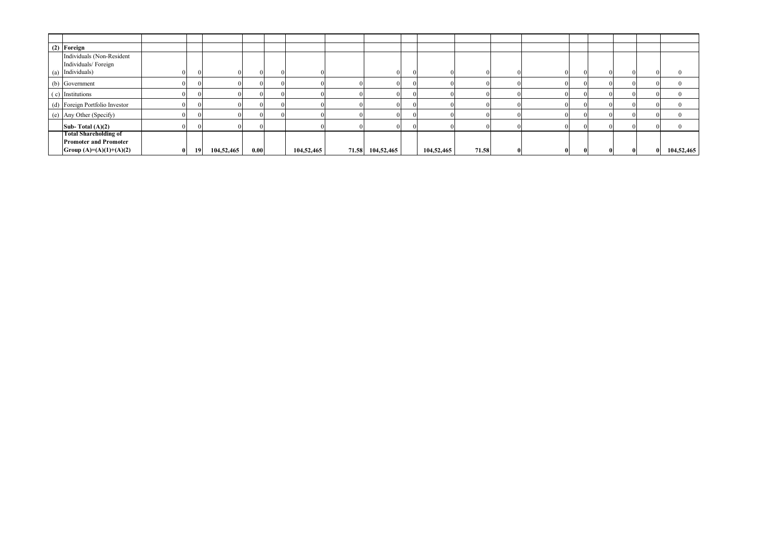| (2) Foreign                    |              |           |            |      |            |       |            |            |       |  |  |                |             |            |
|--------------------------------|--------------|-----------|------------|------|------------|-------|------------|------------|-------|--|--|----------------|-------------|------------|
| Individuals (Non-Resident      |              |           |            |      |            |       |            |            |       |  |  |                |             |            |
| Individuals/Foreign            |              |           |            |      |            |       |            |            |       |  |  |                |             |            |
| (a) Individuals)               |              |           |            |      |            |       |            |            |       |  |  | $\overline{0}$ | $^{\prime}$ |            |
| (b) Government                 |              |           |            |      |            |       |            |            |       |  |  | $\Omega$       |             |            |
| (c) Institutions               |              |           |            |      |            |       |            |            |       |  |  |                |             |            |
| (d) Foreign Portfolio Investor |              |           |            |      |            |       |            |            |       |  |  | $\Omega$       |             |            |
| (e) Any Other (Specify)        |              |           |            |      |            |       |            |            |       |  |  | $\Omega$       | $^{\circ}$  |            |
| Sub-Total $(A)(2)$             |              |           |            |      |            |       |            |            |       |  |  |                |             |            |
| <b>Total Shareholding of</b>   |              |           |            |      |            |       |            |            |       |  |  |                |             |            |
| <b>Promoter and Promoter</b>   |              |           |            |      |            |       |            |            |       |  |  |                |             |            |
| Group $(A)=(A)(1)+(A)(2)$      | $\mathbf{0}$ | <b>19</b> | 104,52,465 | 0.00 | 104,52,465 | 71.58 | 104,52,465 | 104,52,465 | 71.58 |  |  | $\bf{0}$       |             | 104,52,465 |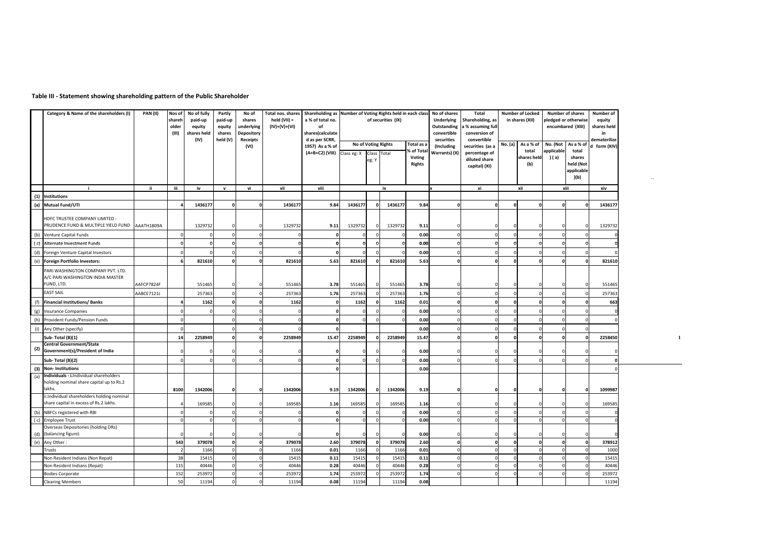## **Table III - Statement showing shareholding pattern of the Public Shareholder**

|     | Category & Name of the shareholders (I)                                             | PAN (II)   | Nos of<br>shareh<br>older<br>(III) | No of fully<br>paid-up<br>equity<br>shares held<br>(IV) | Partly<br>paid-up<br>equity<br>shares<br>held (V) | No of<br>shares<br>underlying<br><b>Depository</b><br>Receipts<br>(VI) | held $(VII) =$<br>$(IV)+(V)+(VI)$ | a % of total no.<br>of<br>shares(calculate<br>d as per SCRR,<br>1957) As a % of<br>(A+B+C2) (VIII) | Class eg: X | of securities (IX)<br>No of Voting Rights<br>Class<br>Total<br>eg: Y |         |       |          |              |  |              |          | Total nos. shares   Shareholding as   Number of Voting Rights held in each class |         | Total as a<br>6 of Total<br>Voting<br><b>Rights</b> | No of shares<br><b>Underlying</b><br>Outstanding<br>convertible<br>securities<br>(Including<br>Warrants) (X) | Total<br>Shareholding, as<br>a % assuming full<br>conversion of<br>convertible<br>securities (as a<br>percentage of<br>diluted share<br>capital) (XI) | <b>Number of Locked</b><br>in shares (XII)<br>No. (a)<br>As a % of<br>total<br>shares held<br>(b) |  | <b>Number of shares</b><br>pledged or otherwise<br>encumbared (XIII)<br>No. (Not<br>As a % of<br>applicable<br>total<br>) ( a)<br>shares<br>held (Not<br>applicable |  | Number of<br>equity<br>shares held<br>in<br>dematerilize<br>d form (XIV) |  |
|-----|-------------------------------------------------------------------------------------|------------|------------------------------------|---------------------------------------------------------|---------------------------------------------------|------------------------------------------------------------------------|-----------------------------------|----------------------------------------------------------------------------------------------------|-------------|----------------------------------------------------------------------|---------|-------|----------|--------------|--|--------------|----------|----------------------------------------------------------------------------------|---------|-----------------------------------------------------|--------------------------------------------------------------------------------------------------------------|-------------------------------------------------------------------------------------------------------------------------------------------------------|---------------------------------------------------------------------------------------------------|--|---------------------------------------------------------------------------------------------------------------------------------------------------------------------|--|--------------------------------------------------------------------------|--|
|     |                                                                                     | ii.        | iii                                | iv                                                      | $\mathbf{v}$                                      | vi                                                                     | vii                               | viii                                                                                               |             |                                                                      | ix      |       | Ιx       | xi           |  | xii          | xiii     | )(b)                                                                             | xiv     |                                                     |                                                                                                              |                                                                                                                                                       |                                                                                                   |  |                                                                                                                                                                     |  |                                                                          |  |
| (1) | -i<br><b>Institutions</b>                                                           |            |                                    |                                                         |                                                   |                                                                        |                                   |                                                                                                    |             |                                                                      |         |       |          |              |  |              |          |                                                                                  |         |                                                     |                                                                                                              |                                                                                                                                                       |                                                                                                   |  |                                                                                                                                                                     |  |                                                                          |  |
|     | Mutual Fund/UTI                                                                     |            |                                    | 1436177                                                 |                                                   |                                                                        | 1436177                           | 9.84                                                                                               | 1436177     | O                                                                    | 1436177 | 9.84  |          | $\Omega$     |  |              |          |                                                                                  | 1436177 |                                                     |                                                                                                              |                                                                                                                                                       |                                                                                                   |  |                                                                                                                                                                     |  |                                                                          |  |
| (a) |                                                                                     |            |                                    |                                                         |                                                   |                                                                        |                                   |                                                                                                    |             |                                                                      |         |       |          |              |  |              |          |                                                                                  |         |                                                     |                                                                                                              |                                                                                                                                                       |                                                                                                   |  |                                                                                                                                                                     |  |                                                                          |  |
|     | HDFC TRUSTEE COMPANY LIMITED -<br>PRUDENCE FUND & MULTIPLE YIELD FUND AAATH1809A    |            |                                    | 1329732                                                 |                                                   | $\Omega$                                                               | 1329732                           | 9.11                                                                                               | 1329732     | $\Omega$                                                             | 1329732 | 9.11  |          | $\Omega$     |  |              |          |                                                                                  | 1329732 |                                                     |                                                                                                              |                                                                                                                                                       |                                                                                                   |  |                                                                                                                                                                     |  |                                                                          |  |
| (b) | Venture Capital Funds                                                               |            |                                    |                                                         |                                                   |                                                                        |                                   |                                                                                                    |             |                                                                      |         | 0.00  |          |              |  |              |          |                                                                                  |         |                                                     |                                                                                                              |                                                                                                                                                       |                                                                                                   |  |                                                                                                                                                                     |  |                                                                          |  |
| (c) | Alternate Investment Funds                                                          |            |                                    | $\Omega$                                                |                                                   | $\Omega$                                                               |                                   |                                                                                                    | $\Omega$    | $\Omega$                                                             |         | 0.00  |          | $\Omega$     |  | $\Omega$     |          |                                                                                  |         |                                                     |                                                                                                              |                                                                                                                                                       |                                                                                                   |  |                                                                                                                                                                     |  |                                                                          |  |
| (d) | Foreign Venture Capital Investors                                                   |            |                                    |                                                         |                                                   |                                                                        |                                   |                                                                                                    |             |                                                                      |         | 0.00  |          |              |  |              |          |                                                                                  |         |                                                     |                                                                                                              |                                                                                                                                                       |                                                                                                   |  |                                                                                                                                                                     |  |                                                                          |  |
| (e) | <b>Foreign Portfolio Investors:</b>                                                 |            |                                    | 821610                                                  |                                                   | $\Omega$                                                               | 821610                            | 5.63                                                                                               | 821610      | n                                                                    | 821610  | 5.63  |          | $\Omega$     |  | $\Omega$     |          |                                                                                  | 821610  |                                                     |                                                                                                              |                                                                                                                                                       |                                                                                                   |  |                                                                                                                                                                     |  |                                                                          |  |
|     | PARI WASHINGTON COMPANY PVT. LTD.<br>A/C PARI WASHINGTON INDIA MASTER<br>FUND, LTD. | AAFCP7824F |                                    | 551465                                                  |                                                   | $\Omega$                                                               | 551465                            | 3.78                                                                                               | 551465      |                                                                      | 551465  | 3.78  |          |              |  |              |          |                                                                                  | 551465  |                                                     |                                                                                                              |                                                                                                                                                       |                                                                                                   |  |                                                                                                                                                                     |  |                                                                          |  |
|     | <b>EAST SAIL</b>                                                                    | AABCE7121J |                                    | 257363                                                  |                                                   |                                                                        | 257363                            | 1.76                                                                                               | 25736       |                                                                      | 25736   | 1.76  |          |              |  |              |          |                                                                                  | 257363  |                                                     |                                                                                                              |                                                                                                                                                       |                                                                                                   |  |                                                                                                                                                                     |  |                                                                          |  |
| (f) | <b>Financial Institutions/Banks</b>                                                 |            |                                    | 1162                                                    |                                                   | $\Omega$                                                               | 1162                              | $\Omega$                                                                                           | 1162        |                                                                      | 1162    | 0.01  |          | $\mathbf{0}$ |  | $\Omega$     |          |                                                                                  | 663     |                                                     |                                                                                                              |                                                                                                                                                       |                                                                                                   |  |                                                                                                                                                                     |  |                                                                          |  |
| (g) | Insurance Companies                                                                 |            |                                    |                                                         |                                                   |                                                                        |                                   |                                                                                                    |             |                                                                      |         | 0.00  |          |              |  |              |          |                                                                                  |         |                                                     |                                                                                                              |                                                                                                                                                       |                                                                                                   |  |                                                                                                                                                                     |  |                                                                          |  |
| (h) | Provident Funds/Pension Funds                                                       |            |                                    |                                                         |                                                   | $\Omega$                                                               |                                   |                                                                                                    |             |                                                                      |         | 0.00  |          | $\Omega$     |  | $\Omega$     |          |                                                                                  |         |                                                     |                                                                                                              |                                                                                                                                                       |                                                                                                   |  |                                                                                                                                                                     |  |                                                                          |  |
| (i) | Any Other (specify)                                                                 |            |                                    |                                                         |                                                   |                                                                        |                                   |                                                                                                    |             |                                                                      |         | 0.00  |          |              |  |              |          |                                                                                  |         |                                                     |                                                                                                              |                                                                                                                                                       |                                                                                                   |  |                                                                                                                                                                     |  |                                                                          |  |
|     | Sub-Total (B)(1)                                                                    |            | 14                                 | 2258949                                                 |                                                   | 0                                                                      | 2258949                           | 15.47                                                                                              | 2258949     | n                                                                    | 2258949 | 15.47 |          | $\mathbf{0}$ |  | $\mathbf{o}$ | $\Omega$ |                                                                                  | 2258450 |                                                     |                                                                                                              |                                                                                                                                                       |                                                                                                   |  |                                                                                                                                                                     |  |                                                                          |  |
|     | <b>Central Government/State</b>                                                     |            |                                    |                                                         |                                                   |                                                                        |                                   |                                                                                                    |             |                                                                      |         |       |          |              |  |              |          |                                                                                  |         |                                                     |                                                                                                              |                                                                                                                                                       |                                                                                                   |  |                                                                                                                                                                     |  |                                                                          |  |
| (2) | Government(s)/President of India                                                    |            |                                    |                                                         |                                                   |                                                                        |                                   |                                                                                                    |             |                                                                      |         | 0.00  |          |              |  |              |          |                                                                                  |         |                                                     |                                                                                                              |                                                                                                                                                       |                                                                                                   |  |                                                                                                                                                                     |  |                                                                          |  |
|     | Sub- Total (B)(2)                                                                   |            |                                    |                                                         |                                                   |                                                                        |                                   |                                                                                                    |             | $\mathsf{r}$                                                         |         | 0.00  |          |              |  | $\Omega$     |          |                                                                                  |         |                                                     |                                                                                                              |                                                                                                                                                       |                                                                                                   |  |                                                                                                                                                                     |  |                                                                          |  |
| (3) | <b>Non-Institutions</b>                                                             |            |                                    |                                                         |                                                   |                                                                        |                                   |                                                                                                    |             |                                                                      |         | 0.00  |          |              |  |              |          |                                                                                  |         |                                                     |                                                                                                              |                                                                                                                                                       |                                                                                                   |  |                                                                                                                                                                     |  |                                                                          |  |
| (a) | Individuals - i.Individual shareholders<br>holding nominal share capital up to Rs.2 |            |                                    |                                                         |                                                   |                                                                        |                                   |                                                                                                    |             |                                                                      |         |       |          |              |  |              |          |                                                                                  |         |                                                     |                                                                                                              |                                                                                                                                                       |                                                                                                   |  |                                                                                                                                                                     |  |                                                                          |  |
|     | lakhs.                                                                              |            | 8100                               | 1342006                                                 |                                                   | 0                                                                      | 1342006                           | 9.19                                                                                               | 1342006     |                                                                      | 1342006 | 9.19  |          | $\mathbf 0$  |  | $\mathbf{0}$ | $\Omega$ |                                                                                  | 1099987 |                                                     |                                                                                                              |                                                                                                                                                       |                                                                                                   |  |                                                                                                                                                                     |  |                                                                          |  |
|     | i.Individual shareholders holding nominal<br>share capital in excess of Rs.2 lakhs. |            |                                    | 169585                                                  |                                                   |                                                                        | 169585                            | 1.16                                                                                               | 169585      |                                                                      | 169585  | 1.16  |          |              |  |              |          |                                                                                  | 169585  |                                                     |                                                                                                              |                                                                                                                                                       |                                                                                                   |  |                                                                                                                                                                     |  |                                                                          |  |
| (b) | NBFCs registered with RBI                                                           |            |                                    |                                                         |                                                   |                                                                        |                                   |                                                                                                    |             |                                                                      |         | 0.00  |          |              |  |              |          |                                                                                  |         |                                                     |                                                                                                              |                                                                                                                                                       |                                                                                                   |  |                                                                                                                                                                     |  |                                                                          |  |
| (c) | <b>Employee Trust</b>                                                               |            |                                    |                                                         |                                                   |                                                                        |                                   | $\mathbf{o}$                                                                                       |             |                                                                      |         | 0.00  |          | $\Omega$     |  |              |          |                                                                                  |         |                                                     |                                                                                                              |                                                                                                                                                       |                                                                                                   |  |                                                                                                                                                                     |  |                                                                          |  |
| (d) | Overseas Depositories (holding DRs)<br>(balancing figure)                           |            |                                    |                                                         |                                                   |                                                                        |                                   |                                                                                                    |             |                                                                      |         | 0.00  |          |              |  |              |          |                                                                                  |         |                                                     |                                                                                                              |                                                                                                                                                       |                                                                                                   |  |                                                                                                                                                                     |  |                                                                          |  |
| (e) | Any Other:                                                                          |            | 543                                | 379078                                                  |                                                   | $\mathbf{0}$                                                           | 379078                            | 2.60                                                                                               | 379078      | n                                                                    | 379078  | 2.60  | $\Omega$ | $\mathbf{0}$ |  | $\mathbf{0}$ | $\Omega$ |                                                                                  | 378912  |                                                     |                                                                                                              |                                                                                                                                                       |                                                                                                   |  |                                                                                                                                                                     |  |                                                                          |  |
|     | Trusts                                                                              |            | $\overline{2}$                     | 1166                                                    |                                                   |                                                                        | 1166                              | 0.01                                                                                               | 1166        |                                                                      | 1166    | 0.01  |          | $\Omega$     |  | $\Omega$     |          |                                                                                  | 1000    |                                                     |                                                                                                              |                                                                                                                                                       |                                                                                                   |  |                                                                                                                                                                     |  |                                                                          |  |
|     | Non Resident Indians (Non Repat)                                                    |            | 38                                 | 15415                                                   |                                                   |                                                                        | 15415                             | 0.11                                                                                               | 1541        |                                                                      | 15415   | 0.11  |          |              |  |              |          |                                                                                  | 15415   |                                                     |                                                                                                              |                                                                                                                                                       |                                                                                                   |  |                                                                                                                                                                     |  |                                                                          |  |
|     | Non Resident Indians (Repat)                                                        |            | 115                                | 40446                                                   |                                                   |                                                                        | 40446                             | 0.28                                                                                               | 40446       |                                                                      | 40446   | 0.28  |          |              |  |              |          |                                                                                  | 40446   |                                                     |                                                                                                              |                                                                                                                                                       |                                                                                                   |  |                                                                                                                                                                     |  |                                                                          |  |
|     | Bodies Corporate                                                                    |            | 152                                | 253972                                                  |                                                   |                                                                        | 253972                            | 1.74                                                                                               | 25397       |                                                                      | 25397   | 1.74  |          |              |  |              |          |                                                                                  | 253972  |                                                     |                                                                                                              |                                                                                                                                                       |                                                                                                   |  |                                                                                                                                                                     |  |                                                                          |  |
|     | <b>Clearing Members</b>                                                             |            | 50                                 | 11194                                                   |                                                   |                                                                        | 11194                             | 0.08                                                                                               | 11194       |                                                                      | 11194   | 0.08  |          |              |  |              |          |                                                                                  | 11194   |                                                     |                                                                                                              |                                                                                                                                                       |                                                                                                   |  |                                                                                                                                                                     |  |                                                                          |  |